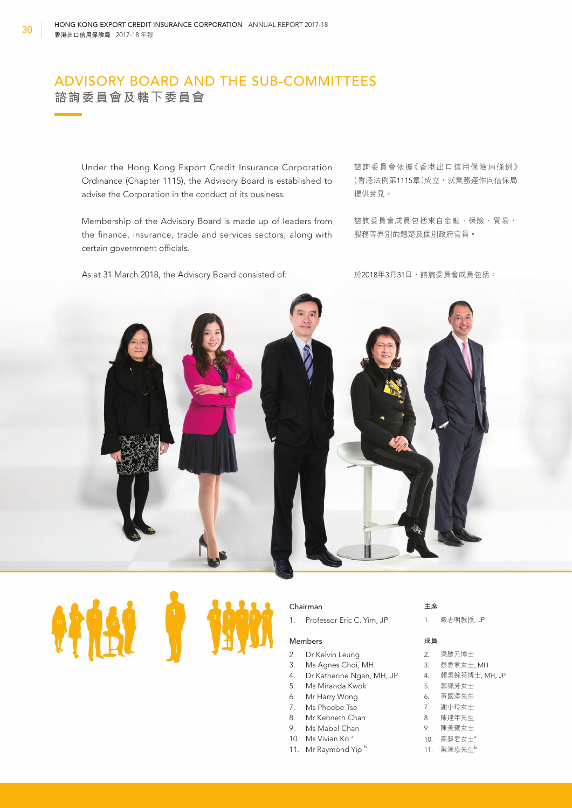Under the Hong Kong Export Credit Insurance Corporation 諮詢委員會依據《香港出口信用保險局條例》 Ordinance (Chapter 1115), the Advisory Board is established to (香港法例第1115章)成立,就業務運作向信保局 advise the Corporation in the conduct of its business. <br>提供意見。

Membership of the Advisory Board is made up of leaders from 諮詢委員會成員包括來自金融、保險、貿易、 the finance, insurance, trade and services sectors, along with 服務等界別的翹楚及個別政府官員。 certain government officials.

As at 31 March 2018, the Advisory Board consisted of: <br>
Research  $\mathbb{R}$ <br>
<br> **As at 31 March 2018**, the Advisory Board consisted of: <br> **As at 31 March 2018** 



 $10$  9 6  $2$   $4$   $2$   $10$   $3$   $5$   $7$   $8$   $11$ 

### Chairman **主席**

1. Professor Eric C. Yim, JP 1. 嚴志明教授, JP

### Members **成員**

- 2. Dr Kelvin Leung 2. 梁啟元博士
- 3. Ms Agnes Choi, MH 3. 蔡香君女士, MH
- 4. Dr Katherine Ngan, MH, JP 4. 顏吳餘英博士, MH, JP
- 5. Ms Miranda Kwok **5. 郭珮芳女士**
- 6. Mr Harry Wong 6. 黃國添先生
- 7. Ms Phoebe Tse 2000 2000 7. 謝小玲女士
- 8. Mr Kenneth Chan 28. 陳建年先生
- 9. Ms Mabel Chan 20 9. 陳美寶女士
- 10. Ms Vivian Ko<sup>a</sup> 10. 高慧君女士<sup>a</sup>
- 11. Mr Raymond Yip  $b$  11. 葉澤恩先生 $b$

- 
- 
- 
- 
- 
- 
- 
- 
-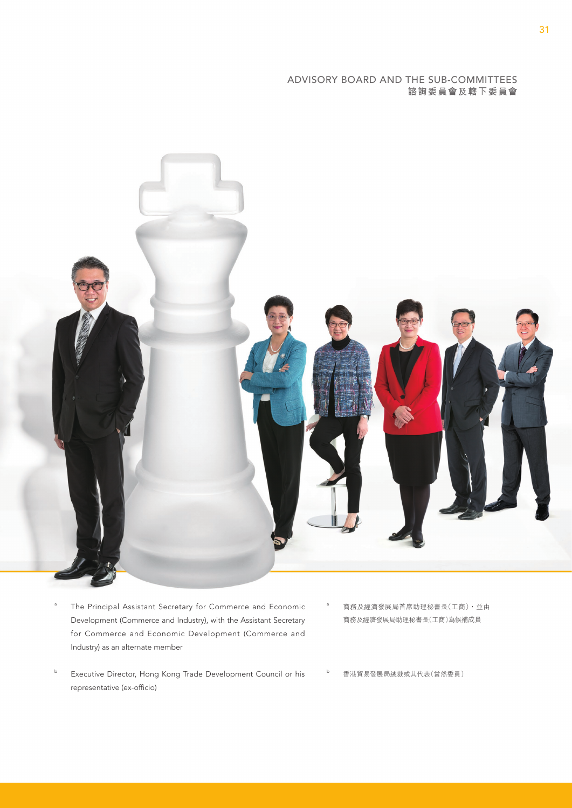

- The Principal Assistant Secretary for Commerce and Economic Development (Commerce and Industry), with the Assistant Secretary for Commerce and Economic Development (Commerce and Industry) as an alternate member
- Executive Director, Hong Kong Trade Development Council or his representative (ex-officio)
- <sup>a</sup> 商務及經濟發展局首席助理秘書長(工商),並由 商務及經濟發展局助理秘書長(工商)為候補成員

<sup>b</sup> 香港貿易發展局總裁或其代表(當然委員)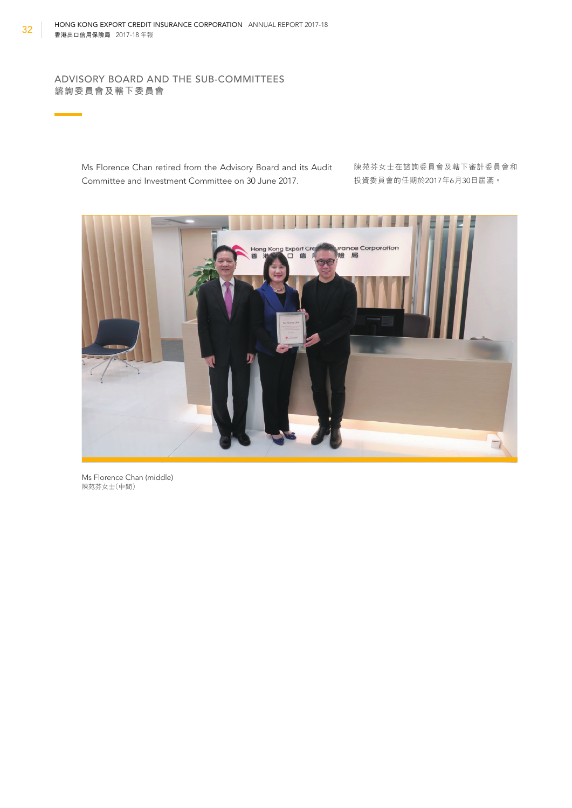> Ms Florence Chan retired from the Advisory Board and its Audit 陳苑芬女士在諮詢委員會及轄下審計委員會和 Committee and Investment Committee on 30 June 2017. 投資委員會的任期於2017年6月30日屆滿。



Ms Florence Chan (middle) 陳苑芬女士(中間)